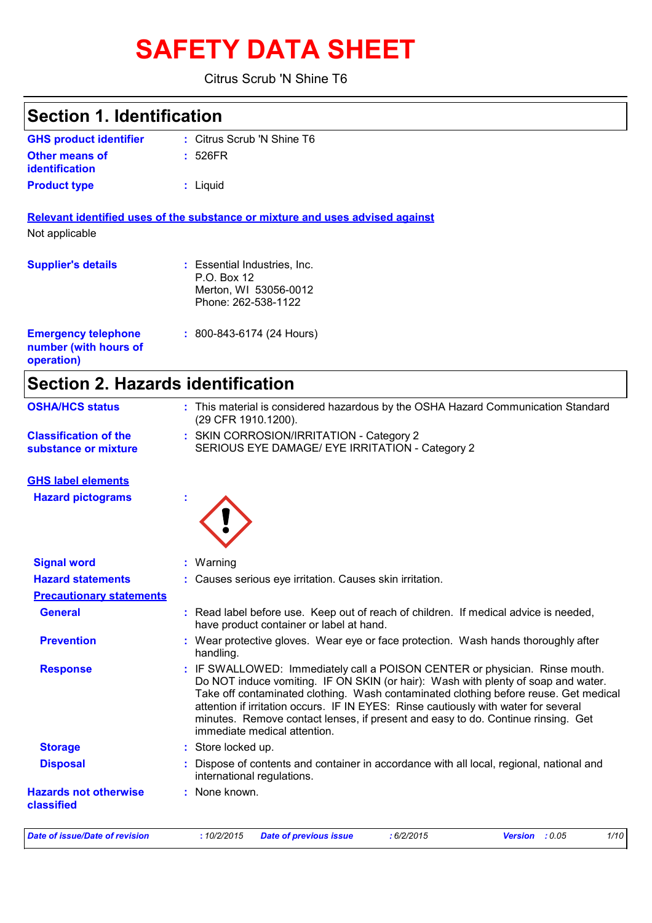# **SAFETY DATA SHEET**

Citrus Scrub 'N Shine T6

| <b>Section 1. Identification</b>                                  |                                                                                                                                                                                                                                                                                                                                                                                                                                                                     |
|-------------------------------------------------------------------|---------------------------------------------------------------------------------------------------------------------------------------------------------------------------------------------------------------------------------------------------------------------------------------------------------------------------------------------------------------------------------------------------------------------------------------------------------------------|
| <b>GHS product identifier</b>                                     | : Citrus Scrub 'N Shine T6                                                                                                                                                                                                                                                                                                                                                                                                                                          |
| <b>Other means of</b><br>identification                           | : 526FR                                                                                                                                                                                                                                                                                                                                                                                                                                                             |
| <b>Product type</b>                                               | : Liquid                                                                                                                                                                                                                                                                                                                                                                                                                                                            |
|                                                                   | Relevant identified uses of the substance or mixture and uses advised against                                                                                                                                                                                                                                                                                                                                                                                       |
| Not applicable                                                    |                                                                                                                                                                                                                                                                                                                                                                                                                                                                     |
| <b>Supplier's details</b>                                         | : Essential Industries, Inc.<br>P.O. Box 12<br>Merton, WI 53056-0012<br>Phone: 262-538-1122                                                                                                                                                                                                                                                                                                                                                                         |
| <b>Emergency telephone</b><br>number (with hours of<br>operation) | $: 800 - 843 - 6174 (24$ Hours)                                                                                                                                                                                                                                                                                                                                                                                                                                     |
| <b>Section 2. Hazards identification</b>                          |                                                                                                                                                                                                                                                                                                                                                                                                                                                                     |
| <b>OSHA/HCS status</b>                                            | : This material is considered hazardous by the OSHA Hazard Communication Standard<br>(29 CFR 1910.1200).                                                                                                                                                                                                                                                                                                                                                            |
| <b>Classification of the</b><br>substance or mixture              | : SKIN CORROSION/IRRITATION - Category 2<br>SERIOUS EYE DAMAGE/ EYE IRRITATION - Category 2                                                                                                                                                                                                                                                                                                                                                                         |
| <b>GHS label elements</b>                                         |                                                                                                                                                                                                                                                                                                                                                                                                                                                                     |
| <b>Hazard pictograms</b>                                          |                                                                                                                                                                                                                                                                                                                                                                                                                                                                     |
| <b>Signal word</b>                                                | : Warning                                                                                                                                                                                                                                                                                                                                                                                                                                                           |
| <b>Hazard statements</b>                                          | : Causes serious eye irritation. Causes skin irritation.                                                                                                                                                                                                                                                                                                                                                                                                            |
| <b>Precautionary statements</b>                                   |                                                                                                                                                                                                                                                                                                                                                                                                                                                                     |
| <b>General</b>                                                    | : Read label before use. Keep out of reach of children. If medical advice is needed,<br>have product container or label at hand.                                                                                                                                                                                                                                                                                                                                    |
| <b>Prevention</b>                                                 | : Wear protective gloves. Wear eye or face protection. Wash hands thoroughly after<br>handling.                                                                                                                                                                                                                                                                                                                                                                     |
| <b>Response</b>                                                   | : IF SWALLOWED: Immediately call a POISON CENTER or physician. Rinse mouth.<br>Do NOT induce vomiting. IF ON SKIN (or hair): Wash with plenty of soap and water.<br>Take off contaminated clothing. Wash contaminated clothing before reuse. Get medical<br>attention if irritation occurs. IF IN EYES: Rinse cautiously with water for several<br>minutes. Remove contact lenses, if present and easy to do. Continue rinsing. Get<br>immediate medical attention. |
| <b>Storage</b>                                                    | : Store locked up.                                                                                                                                                                                                                                                                                                                                                                                                                                                  |
| <b>Disposal</b>                                                   | : Dispose of contents and container in accordance with all local, regional, national and<br>international regulations.                                                                                                                                                                                                                                                                                                                                              |
| <b>Hazards not otherwise</b><br>classified                        | : None known.                                                                                                                                                                                                                                                                                                                                                                                                                                                       |
| <b>Date of issue/Date of revision</b>                             | 1/10<br>:10/2/2015<br><b>Date of previous issue</b><br>: 6/2/2015<br>Version : 0.05                                                                                                                                                                                                                                                                                                                                                                                 |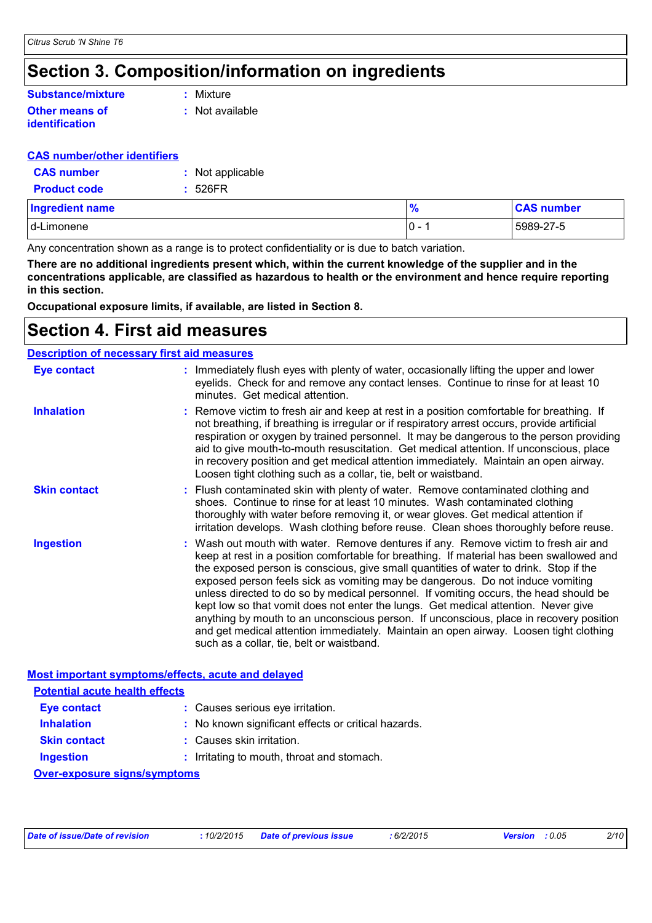### **Section 3. Composition/information on ingredients**

### **Substance/mixture**

#### **Other means of identification**

**:** Mixture

**:** Not available

#### **CAS number/other identifiers**

| <b>CAS number</b>   | : Not applicable |
|---------------------|------------------|
| <b>Product code</b> | : 526FR          |

| <b>Ingredient name</b> | $\frac{9}{6}$ | <b>CAS number</b> |
|------------------------|---------------|-------------------|
| d-Limonene             | IO -          | 5989-27-5         |

Any concentration shown as a range is to protect confidentiality or is due to batch variation.

**There are no additional ingredients present which, within the current knowledge of the supplier and in the concentrations applicable, are classified as hazardous to health or the environment and hence require reporting in this section.**

**Occupational exposure limits, if available, are listed in Section 8.**

### **Section 4. First aid measures**

#### **Description of necessary first aid measures**

| <b>Eye contact</b>                                 | : Immediately flush eyes with plenty of water, occasionally lifting the upper and lower<br>eyelids. Check for and remove any contact lenses. Continue to rinse for at least 10<br>minutes. Get medical attention.                                                                                                                                                                                                                                                                                                                                                                                                                                                                                                                                                         |
|----------------------------------------------------|---------------------------------------------------------------------------------------------------------------------------------------------------------------------------------------------------------------------------------------------------------------------------------------------------------------------------------------------------------------------------------------------------------------------------------------------------------------------------------------------------------------------------------------------------------------------------------------------------------------------------------------------------------------------------------------------------------------------------------------------------------------------------|
| <b>Inhalation</b>                                  | : Remove victim to fresh air and keep at rest in a position comfortable for breathing. If<br>not breathing, if breathing is irregular or if respiratory arrest occurs, provide artificial<br>respiration or oxygen by trained personnel. It may be dangerous to the person providing<br>aid to give mouth-to-mouth resuscitation. Get medical attention. If unconscious, place<br>in recovery position and get medical attention immediately. Maintain an open airway.<br>Loosen tight clothing such as a collar, tie, belt or waistband.                                                                                                                                                                                                                                 |
| <b>Skin contact</b>                                | : Flush contaminated skin with plenty of water. Remove contaminated clothing and<br>shoes. Continue to rinse for at least 10 minutes. Wash contaminated clothing<br>thoroughly with water before removing it, or wear gloves. Get medical attention if<br>irritation develops. Wash clothing before reuse. Clean shoes thoroughly before reuse.                                                                                                                                                                                                                                                                                                                                                                                                                           |
| <b>Ingestion</b>                                   | : Wash out mouth with water. Remove dentures if any. Remove victim to fresh air and<br>keep at rest in a position comfortable for breathing. If material has been swallowed and<br>the exposed person is conscious, give small quantities of water to drink. Stop if the<br>exposed person feels sick as vomiting may be dangerous. Do not induce vomiting<br>unless directed to do so by medical personnel. If vomiting occurs, the head should be<br>kept low so that vomit does not enter the lungs. Get medical attention. Never give<br>anything by mouth to an unconscious person. If unconscious, place in recovery position<br>and get medical attention immediately. Maintain an open airway. Loosen tight clothing<br>such as a collar, tie, belt or waistband. |
| Most important symptoms/effects, acute and delayed |                                                                                                                                                                                                                                                                                                                                                                                                                                                                                                                                                                                                                                                                                                                                                                           |
| <b>Potential acute health effects</b>              |                                                                                                                                                                                                                                                                                                                                                                                                                                                                                                                                                                                                                                                                                                                                                                           |

| <b>Eye contact</b>  | : Causes serious eye irritation.                    |
|---------------------|-----------------------------------------------------|
| <b>Inhalation</b>   | : No known significant effects or critical hazards. |
| <b>Clin contact</b> | . Coupon okin irritation                            |

- **Skin contact :** Causes skin irritation.
- **Ingestion :** Irritating to mouth, throat and stomach.

**Over-exposure signs/symptoms**

| Date of issue/Date of revision | . 10/2/2015 | Date of previous issue | 6/2/2015 | : 0.05<br><b>Version</b> | 2/10 |
|--------------------------------|-------------|------------------------|----------|--------------------------|------|
|                                |             |                        |          |                          |      |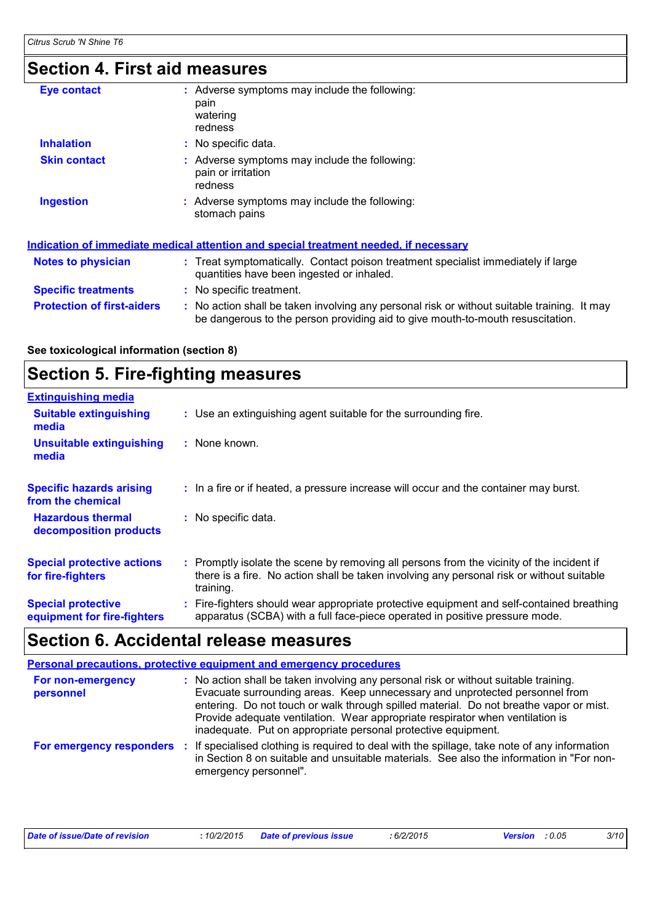### **Section 4. First aid measures**

| <b>Eye contact</b>                | : Adverse symptoms may include the following:<br>pain<br>watering<br>redness                                                                                                  |
|-----------------------------------|-------------------------------------------------------------------------------------------------------------------------------------------------------------------------------|
| <b>Inhalation</b>                 | : No specific data.                                                                                                                                                           |
| <b>Skin contact</b>               | Adverse symptoms may include the following:<br>pain or irritation<br>redness                                                                                                  |
| <b>Ingestion</b>                  | : Adverse symptoms may include the following:<br>stomach pains                                                                                                                |
|                                   | Indication of immediate medical attention and special treatment needed, if necessary                                                                                          |
| <b>Notes to physician</b>         | : Treat symptomatically. Contact poison treatment specialist immediately if large<br>quantities have been ingested or inhaled.                                                |
| <b>Specific treatments</b>        | : No specific treatment.                                                                                                                                                      |
| <b>Protection of first-aiders</b> | : No action shall be taken involving any personal risk or without suitable training. It may<br>be dangerous to the person providing aid to give mouth-to-mouth resuscitation. |

#### **See toxicological information (section 8)**

### **Section 5. Fire-fighting measures**

| <b>Extinguishing media</b>                               |                                                                                                                                                                                                     |
|----------------------------------------------------------|-----------------------------------------------------------------------------------------------------------------------------------------------------------------------------------------------------|
| <b>Suitable extinguishing</b><br>media                   | : Use an extinguishing agent suitable for the surrounding fire.                                                                                                                                     |
| <b>Unsuitable extinguishing</b><br>media                 | : None known.                                                                                                                                                                                       |
| <b>Specific hazards arising</b><br>from the chemical     | : In a fire or if heated, a pressure increase will occur and the container may burst.                                                                                                               |
| <b>Hazardous thermal</b><br>decomposition products       | : No specific data.                                                                                                                                                                                 |
| <b>Special protective actions</b><br>for fire-fighters   | : Promptly isolate the scene by removing all persons from the vicinity of the incident if<br>there is a fire. No action shall be taken involving any personal risk or without suitable<br>training. |
| <b>Special protective</b><br>equipment for fire-fighters | : Fire-fighters should wear appropriate protective equipment and self-contained breathing<br>apparatus (SCBA) with a full face-piece operated in positive pressure mode.                            |

### **Section 6. Accidental release measures**

#### **Personal precautions, protective equipment and emergency procedures**

| For non-emergency<br>personnel |      | No action shall be taken involving any personal risk or without suitable training.<br>Evacuate surrounding areas. Keep unnecessary and unprotected personnel from<br>entering. Do not touch or walk through spilled material. Do not breathe vapor or mist.<br>Provide adequate ventilation. Wear appropriate respirator when ventilation is<br>inadequate. Put on appropriate personal protective equipment. |
|--------------------------------|------|---------------------------------------------------------------------------------------------------------------------------------------------------------------------------------------------------------------------------------------------------------------------------------------------------------------------------------------------------------------------------------------------------------------|
| For emergency responders       | - 11 | If specialised clothing is required to deal with the spillage, take note of any information<br>in Section 8 on suitable and unsuitable materials. See also the information in "For non-<br>emergency personnel".                                                                                                                                                                                              |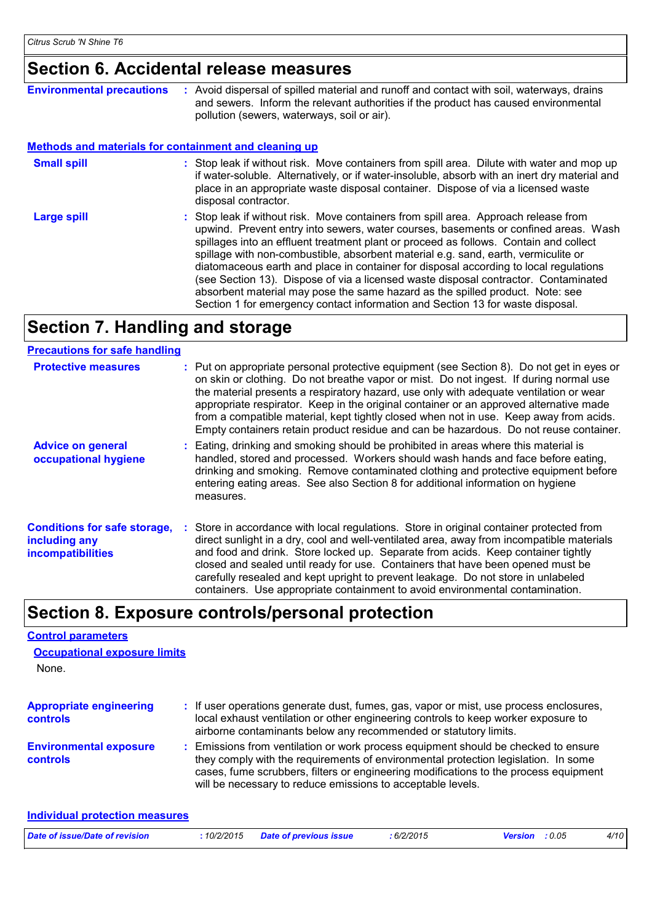### **Section 6. Accidental release measures**

| <b>Environmental precautions</b>                             | : Avoid dispersal of spilled material and runoff and contact with soil, waterways, drains<br>and sewers. Inform the relevant authorities if the product has caused environmental<br>pollution (sewers, waterways, soil or air).                                                                                                                                                                                                                                                                                                                                                                                                                                                                              |
|--------------------------------------------------------------|--------------------------------------------------------------------------------------------------------------------------------------------------------------------------------------------------------------------------------------------------------------------------------------------------------------------------------------------------------------------------------------------------------------------------------------------------------------------------------------------------------------------------------------------------------------------------------------------------------------------------------------------------------------------------------------------------------------|
| <b>Methods and materials for containment and cleaning up</b> |                                                                                                                                                                                                                                                                                                                                                                                                                                                                                                                                                                                                                                                                                                              |
| <b>Small spill</b>                                           | : Stop leak if without risk. Move containers from spill area. Dilute with water and mop up<br>if water-soluble. Alternatively, or if water-insoluble, absorb with an inert dry material and<br>place in an appropriate waste disposal container. Dispose of via a licensed waste<br>disposal contractor.                                                                                                                                                                                                                                                                                                                                                                                                     |
| <b>Large spill</b>                                           | : Stop leak if without risk. Move containers from spill area. Approach release from<br>upwind. Prevent entry into sewers, water courses, basements or confined areas. Wash<br>spillages into an effluent treatment plant or proceed as follows. Contain and collect<br>spillage with non-combustible, absorbent material e.g. sand, earth, vermiculite or<br>diatomaceous earth and place in container for disposal according to local regulations<br>(see Section 13). Dispose of via a licensed waste disposal contractor. Contaminated<br>absorbent material may pose the same hazard as the spilled product. Note: see<br>Section 1 for emergency contact information and Section 13 for waste disposal. |

### **Section 7. Handling and storage**

#### **Precautions for safe handling**

| <b>Protective measures</b>                                                | : Put on appropriate personal protective equipment (see Section 8). Do not get in eyes or<br>on skin or clothing. Do not breathe vapor or mist. Do not ingest. If during normal use<br>the material presents a respiratory hazard, use only with adequate ventilation or wear<br>appropriate respirator. Keep in the original container or an approved alternative made<br>from a compatible material, kept tightly closed when not in use. Keep away from acids.<br>Empty containers retain product residue and can be hazardous. Do not reuse container. |
|---------------------------------------------------------------------------|------------------------------------------------------------------------------------------------------------------------------------------------------------------------------------------------------------------------------------------------------------------------------------------------------------------------------------------------------------------------------------------------------------------------------------------------------------------------------------------------------------------------------------------------------------|
| <b>Advice on general</b><br>occupational hygiene                          | : Eating, drinking and smoking should be prohibited in areas where this material is<br>handled, stored and processed. Workers should wash hands and face before eating,<br>drinking and smoking. Remove contaminated clothing and protective equipment before<br>entering eating areas. See also Section 8 for additional information on hygiene<br>measures.                                                                                                                                                                                              |
| <b>Conditions for safe storage,</b><br>including any<br>incompatibilities | : Store in accordance with local regulations. Store in original container protected from<br>direct sunlight in a dry, cool and well-ventilated area, away from incompatible materials<br>and food and drink. Store locked up. Separate from acids. Keep container tightly<br>closed and sealed until ready for use. Containers that have been opened must be<br>carefully resealed and kept upright to prevent leakage. Do not store in unlabeled<br>containers. Use appropriate containment to avoid environmental contamination.                         |

### **Section 8. Exposure controls/personal protection**

#### **Control parameters**

**Individual protection measures**

| <b>Occupational exposure limits</b><br>None.      |                                                                                                                                                                                                                                                                                                                                 |  |
|---------------------------------------------------|---------------------------------------------------------------------------------------------------------------------------------------------------------------------------------------------------------------------------------------------------------------------------------------------------------------------------------|--|
| <b>Appropriate engineering</b><br><b>controls</b> | : If user operations generate dust, fumes, gas, vapor or mist, use process enclosures,<br>local exhaust ventilation or other engineering controls to keep worker exposure to<br>airborne contaminants below any recommended or statutory limits.                                                                                |  |
| <b>Environmental exposure</b><br><b>controls</b>  | : Emissions from ventilation or work process equipment should be checked to ensure<br>they comply with the requirements of environmental protection legislation. In some<br>cases, fume scrubbers, filters or engineering modifications to the process equipment<br>will be necessary to reduce emissions to acceptable levels. |  |

| Date of issue/Date of revision | .10/2/2015 | <b>Date of previous issue</b> | : 6/2/2015 | Version : 0.05 | 4/10 |
|--------------------------------|------------|-------------------------------|------------|----------------|------|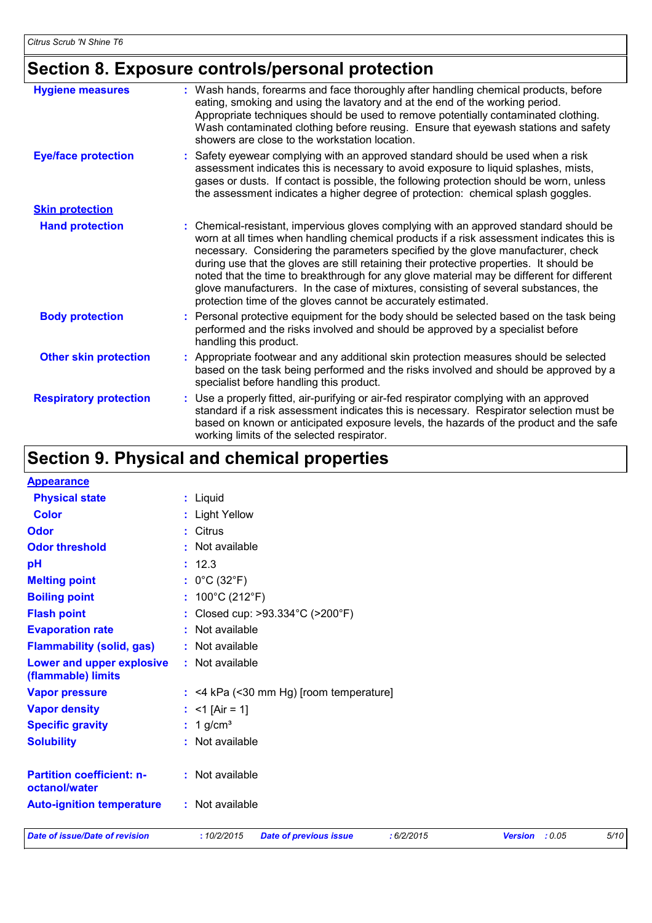### **Section 8. Exposure controls/personal protection**

| <b>Hygiene measures</b>       | : Wash hands, forearms and face thoroughly after handling chemical products, before<br>eating, smoking and using the lavatory and at the end of the working period.<br>Appropriate techniques should be used to remove potentially contaminated clothing.<br>Wash contaminated clothing before reusing. Ensure that eyewash stations and safety<br>showers are close to the workstation location.                                                                                                                                                                                                                      |
|-------------------------------|------------------------------------------------------------------------------------------------------------------------------------------------------------------------------------------------------------------------------------------------------------------------------------------------------------------------------------------------------------------------------------------------------------------------------------------------------------------------------------------------------------------------------------------------------------------------------------------------------------------------|
| <b>Eye/face protection</b>    | : Safety eyewear complying with an approved standard should be used when a risk<br>assessment indicates this is necessary to avoid exposure to liquid splashes, mists,<br>gases or dusts. If contact is possible, the following protection should be worn, unless<br>the assessment indicates a higher degree of protection: chemical splash goggles.                                                                                                                                                                                                                                                                  |
| <b>Skin protection</b>        |                                                                                                                                                                                                                                                                                                                                                                                                                                                                                                                                                                                                                        |
| <b>Hand protection</b>        | : Chemical-resistant, impervious gloves complying with an approved standard should be<br>worn at all times when handling chemical products if a risk assessment indicates this is<br>necessary. Considering the parameters specified by the glove manufacturer, check<br>during use that the gloves are still retaining their protective properties. It should be<br>noted that the time to breakthrough for any glove material may be different for different<br>glove manufacturers. In the case of mixtures, consisting of several substances, the<br>protection time of the gloves cannot be accurately estimated. |
| <b>Body protection</b>        | : Personal protective equipment for the body should be selected based on the task being<br>performed and the risks involved and should be approved by a specialist before<br>handling this product.                                                                                                                                                                                                                                                                                                                                                                                                                    |
| <b>Other skin protection</b>  | : Appropriate footwear and any additional skin protection measures should be selected<br>based on the task being performed and the risks involved and should be approved by a<br>specialist before handling this product.                                                                                                                                                                                                                                                                                                                                                                                              |
| <b>Respiratory protection</b> | : Use a properly fitted, air-purifying or air-fed respirator complying with an approved<br>standard if a risk assessment indicates this is necessary. Respirator selection must be<br>based on known or anticipated exposure levels, the hazards of the product and the safe<br>working limits of the selected respirator.                                                                                                                                                                                                                                                                                             |

## **Section 9. Physical and chemical properties**

| <b>Appearance</b>                                      |                                                           |                          |      |
|--------------------------------------------------------|-----------------------------------------------------------|--------------------------|------|
| <b>Physical state</b>                                  | : Liquid                                                  |                          |      |
| <b>Color</b>                                           | : Light Yellow                                            |                          |      |
| Odor                                                   | : Citrus                                                  |                          |      |
| <b>Odor threshold</b>                                  | : Not available                                           |                          |      |
| pH                                                     | : 12.3                                                    |                          |      |
| <b>Melting point</b>                                   | : $0^{\circ}$ C (32 $^{\circ}$ F)                         |                          |      |
| <b>Boiling point</b>                                   | : $100^{\circ}$ C (212 $^{\circ}$ F)                      |                          |      |
| <b>Flash point</b>                                     | : Closed cup: >93.334°C (>200°F)                          |                          |      |
| <b>Evaporation rate</b>                                | : Not available                                           |                          |      |
| <b>Flammability (solid, gas)</b>                       | : Not available                                           |                          |      |
| <b>Lower and upper explosive</b><br>(flammable) limits | : Not available                                           |                          |      |
| <b>Vapor pressure</b>                                  | $:$ <4 kPa (<30 mm Hg) [room temperature]                 |                          |      |
| <b>Vapor density</b>                                   | : $<$ 1 [Air = 1]                                         |                          |      |
| <b>Specific gravity</b>                                | $: 1$ g/cm <sup>3</sup>                                   |                          |      |
| <b>Solubility</b>                                      | : Not available                                           |                          |      |
| <b>Partition coefficient: n-</b><br>octanol/water      | : Not available                                           |                          |      |
| <b>Auto-ignition temperature</b>                       | : Not available                                           |                          |      |
| <b>Date of issue/Date of revision</b>                  | :10/2/2015<br><b>Date of previous issue</b><br>: 6/2/2015 | : 0.05<br><b>Version</b> | 5/10 |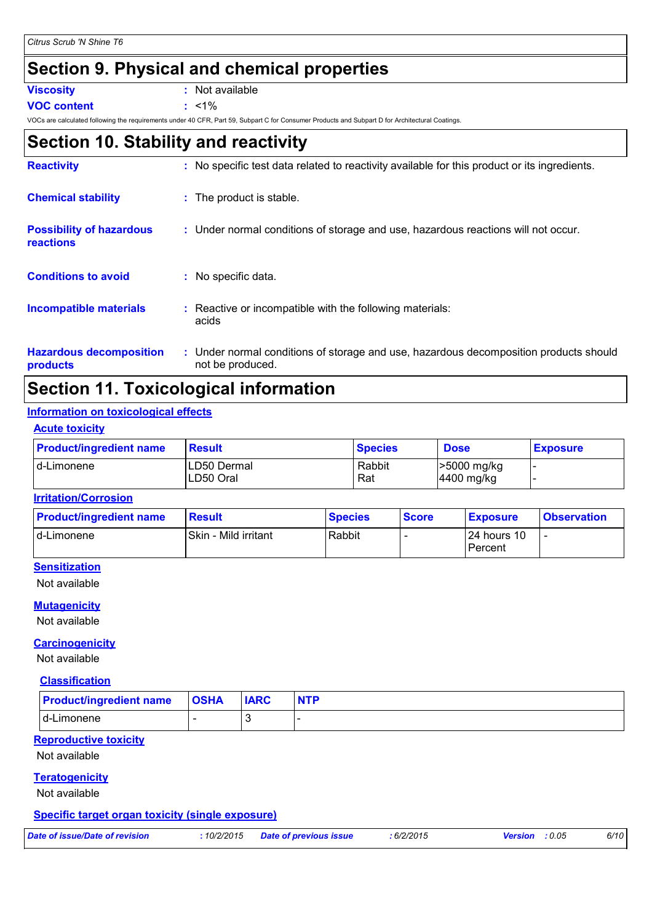### **Section 9. Physical and chemical properties**

**Viscosity :** Not available

**VOC content :** <1%

VOCs are calculated following the requirements under 40 CFR, Part 59, Subpart C for Consumer Products and Subpart D for Architectural Coatings.

### **Section 10. Stability and reactivity**

| <b>Reactivity</b>                            | : No specific test data related to reactivity available for this product or its ingredients.              |
|----------------------------------------------|-----------------------------------------------------------------------------------------------------------|
| <b>Chemical stability</b>                    | : The product is stable.                                                                                  |
| <b>Possibility of hazardous</b><br>reactions | : Under normal conditions of storage and use, hazardous reactions will not occur.                         |
| <b>Conditions to avoid</b>                   | : No specific data.                                                                                       |
| <b>Incompatible materials</b>                | : Reactive or incompatible with the following materials:<br>acids                                         |
| <b>Hazardous decomposition</b><br>products   | : Under normal conditions of storage and use, hazardous decomposition products should<br>not be produced. |

### **Section 11. Toxicological information**

#### **Information on toxicological effects**

#### **Acute toxicity**

| <b>Product/ingredient name</b> | <b>Result</b>            | <b>Species</b> | <b>Dose</b>               | <b>Exposure</b> |
|--------------------------------|--------------------------|----------------|---------------------------|-----------------|
| Id-Limonene                    | LD50 Dermal<br>LD50 Oral | Rabbit<br>Rat  | -5000 mg/kg<br>4400 mg/kg |                 |

#### **Irritation/Corrosion**

| <b>Product/ingredient name</b> | <b>Result</b>        | <b>Species</b> | <b>Score</b> | <b>Exposure</b> | <b>Observation</b> |
|--------------------------------|----------------------|----------------|--------------|-----------------|--------------------|
| d-Limonene                     | Skin - Mild irritant | Rabbit         |              | 124 hours 10    |                    |
|                                |                      |                |              | l Percent       |                    |

#### **Sensitization**

Not available

#### **Mutagenicity**

Not available

#### **Carcinogenicity**

Not available

#### **Classification**

| <b>Product/ingredient name   OSHA</b> | <b>IARC</b> |  |
|---------------------------------------|-------------|--|
| Id-Limonene                           |             |  |

#### **Reproductive toxicity**

Not available

#### **Teratogenicity**

Not available

#### **Specific target organ toxicity (single exposure)**

| Date of issue/Date of revision |  |
|--------------------------------|--|
|--------------------------------|--|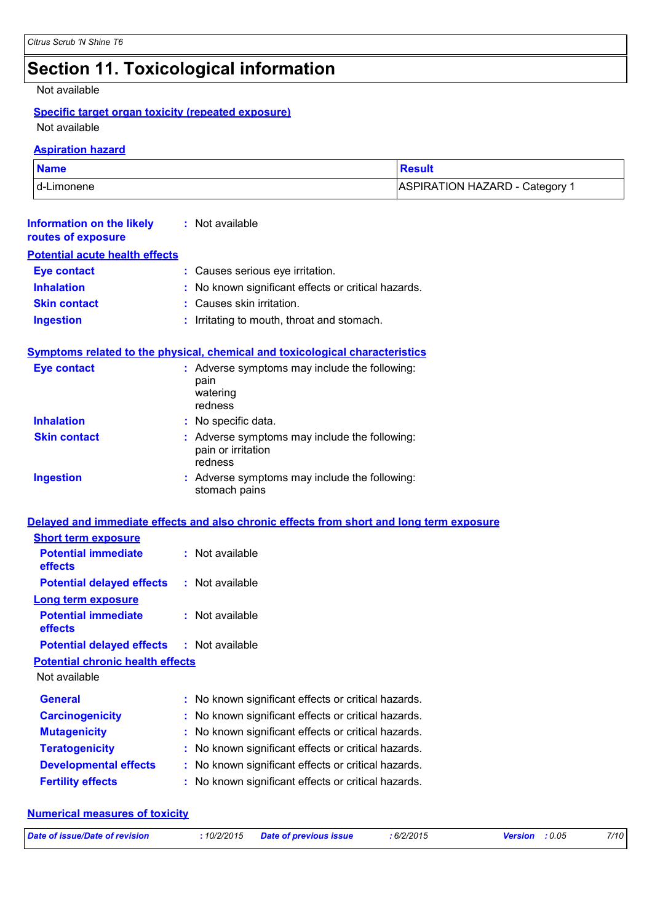## **Section 11. Toxicological information**

Not available

#### **Specific target organ toxicity (repeated exposure)**

Not available

#### **Aspiration hazard**

| <b>Name</b>  | <b>Result</b>                             |
|--------------|-------------------------------------------|
| I d-Limonene | ASPIRATION HAZARD - Category <sup>1</sup> |

| Information on the likely<br>routes of exposure | : Not available                                                                          |
|-------------------------------------------------|------------------------------------------------------------------------------------------|
| <b>Potential acute health effects</b>           |                                                                                          |
| <b>Eye contact</b>                              | : Causes serious eye irritation.                                                         |
| <b>Inhalation</b>                               | : No known significant effects or critical hazards.                                      |
| <b>Skin contact</b>                             | : Causes skin irritation.                                                                |
| <b>Ingestion</b>                                | Irritating to mouth, throat and stomach.                                                 |
|                                                 | Symptoms related to the physical, chemical and toxicological characteristics             |
| <b>Eye contact</b>                              | : Adverse symptoms may include the following:<br>pain<br>watering<br>redness             |
| <b>Inhalation</b>                               | : No specific data.                                                                      |
| <b>Skin contact</b>                             | : Adverse symptoms may include the following:<br>pain or irritation<br>redness           |
| <b>Ingestion</b>                                | : Adverse symptoms may include the following:<br>stomach pains                           |
|                                                 | Delayed and immediate effects and also chronic effects from short and long term exposure |
| <b>Short term exposure</b>                      |                                                                                          |
| <b>Potential immediate</b><br>effects           | : Not available                                                                          |
| <b>Potential delayed effects</b>                | : Not available                                                                          |
| Long term exposure                              |                                                                                          |

| <b>Potential immediate</b> | : Not available |
|----------------------------|-----------------|
| effects                    |                 |

#### **Potential chronic health effects**

Not available

| <b>General</b>               | : No known significant effects or critical hazards. |
|------------------------------|-----------------------------------------------------|
| <b>Carcinogenicity</b>       | : No known significant effects or critical hazards. |
| <b>Mutagenicity</b>          | : No known significant effects or critical hazards. |
| <b>Teratogenicity</b>        | : No known significant effects or critical hazards. |
| <b>Developmental effects</b> | : No known significant effects or critical hazards. |
| <b>Fertility effects</b>     | : No known significant effects or critical hazards. |

#### **Numerical measures of toxicity**

| Date of issue/Date of revision | : 10/2/2015 Date of previous issue | : 6/2/2015 | Version : 0.05 | 7/10 |
|--------------------------------|------------------------------------|------------|----------------|------|
|                                |                                    |            |                |      |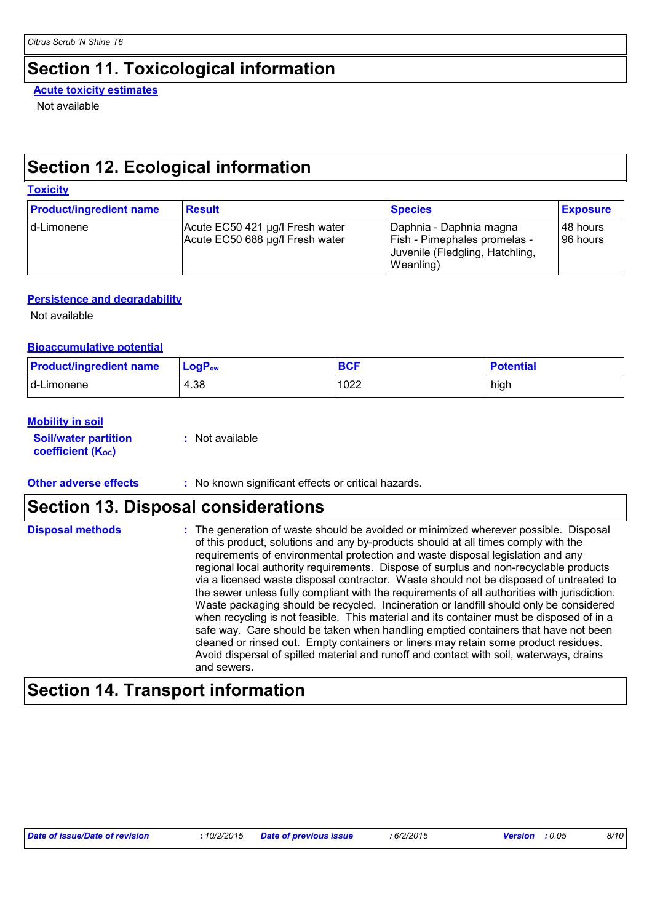### **Section 11. Toxicological information**

**Acute toxicity estimates**

Not available

### **Section 12. Ecological information**

### **Toxicity**

| <b>Product/ingredient name</b> | <b>Result</b>                                                      | <b>Species</b>                                                                                                 | <b>Exposure</b>        |
|--------------------------------|--------------------------------------------------------------------|----------------------------------------------------------------------------------------------------------------|------------------------|
| I d-Limonene                   | Acute EC50 421 µg/l Fresh water<br>Acute EC50 688 µg/l Fresh water | Daphnia - Daphnia magna<br><b>Fish - Pimephales promelas -</b><br>Juvenile (Fledgling, Hatchling,<br>Weanling) | 148 hours<br>196 hours |

#### **Persistence and degradability**

Not available

#### **Bioaccumulative potential**

| <b>Product/ingredient name</b> | $\mathsf{LogP}_\mathsf{ow}$ | <b>BCF</b> | <b>Potential</b> |
|--------------------------------|-----------------------------|------------|------------------|
| d-Limonene                     | 4.38                        | 1022       | high             |

#### **Mobility in soil**

**Soil/water partition coefficient (KOC) :** Not available

**Other adverse effects** : No known significant effects or critical hazards.

### **Section 13. Disposal considerations**

| <b>Disposal methods</b> | : The generation of waste should be avoided or minimized wherever possible. Disposal<br>of this product, solutions and any by-products should at all times comply with the<br>requirements of environmental protection and waste disposal legislation and any<br>regional local authority requirements. Dispose of surplus and non-recyclable products<br>via a licensed waste disposal contractor. Waste should not be disposed of untreated to<br>the sewer unless fully compliant with the requirements of all authorities with jurisdiction.<br>Waste packaging should be recycled. Incineration or landfill should only be considered<br>when recycling is not feasible. This material and its container must be disposed of in a<br>safe way. Care should be taken when handling emptied containers that have not been<br>cleaned or rinsed out. Empty containers or liners may retain some product residues.<br>Avoid dispersal of spilled material and runoff and contact with soil, waterways, drains<br>and sewers. |
|-------------------------|-------------------------------------------------------------------------------------------------------------------------------------------------------------------------------------------------------------------------------------------------------------------------------------------------------------------------------------------------------------------------------------------------------------------------------------------------------------------------------------------------------------------------------------------------------------------------------------------------------------------------------------------------------------------------------------------------------------------------------------------------------------------------------------------------------------------------------------------------------------------------------------------------------------------------------------------------------------------------------------------------------------------------------|
|-------------------------|-------------------------------------------------------------------------------------------------------------------------------------------------------------------------------------------------------------------------------------------------------------------------------------------------------------------------------------------------------------------------------------------------------------------------------------------------------------------------------------------------------------------------------------------------------------------------------------------------------------------------------------------------------------------------------------------------------------------------------------------------------------------------------------------------------------------------------------------------------------------------------------------------------------------------------------------------------------------------------------------------------------------------------|

### **Section 14. Transport information**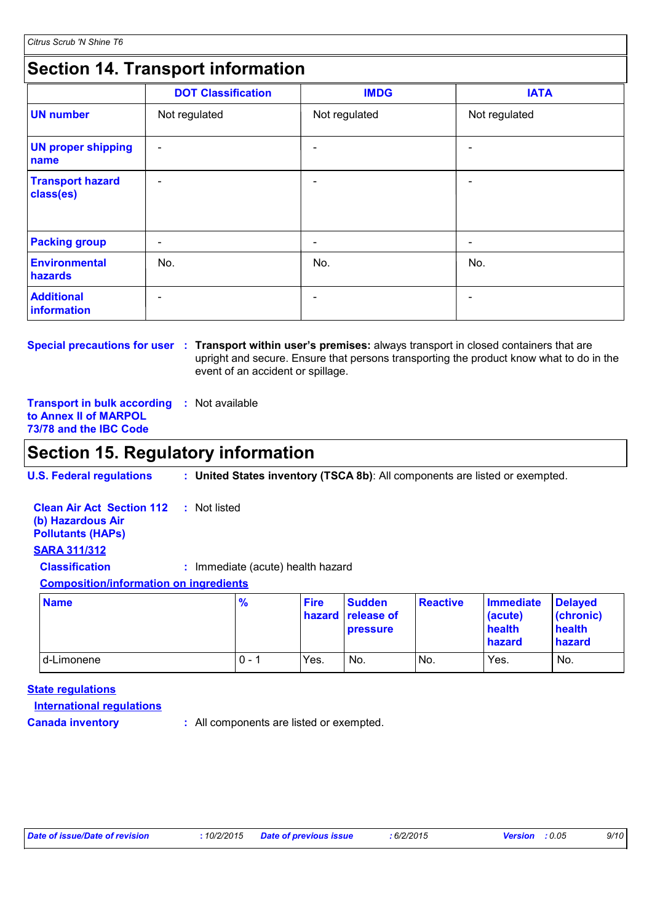### **Section 14. Transport information**

|                                      | <b>DOT Classification</b> | <b>IMDG</b>              | <b>IATA</b>              |
|--------------------------------------|---------------------------|--------------------------|--------------------------|
| <b>UN number</b>                     | Not regulated             | Not regulated            | Not regulated            |
| <b>UN proper shipping</b><br>name    | $\overline{\phantom{a}}$  |                          | $\overline{\phantom{0}}$ |
| <b>Transport hazard</b><br>class(es) | $\overline{\phantom{a}}$  | $\overline{\phantom{0}}$ | $\overline{\phantom{0}}$ |
| <b>Packing group</b>                 | $\overline{\phantom{a}}$  | $\overline{\phantom{0}}$ | -                        |
| Environmental<br>hazards             | No.                       | No.                      | No.                      |
| <b>Additional</b><br>information     | $\qquad \qquad$           |                          |                          |

**Special precautions for user** : Transport within user's premises: always transport in closed containers that are upright and secure. Ensure that persons transporting the product know what to do in the event of an accident or spillage.

**Transport in bulk according :** Not available **to Annex II of MARPOL 73/78 and the IBC Code**

### **Section 15. Regulatory information**

**U.S. Federal regulations : United States inventory (TSCA 8b)**: All components are listed or exempted.

| <b>Clean Air Act Section 112 : Not listed</b><br>(b) Hazardous Air<br><b>Pollutants (HAPs)</b> |  |                                   |  |             |  |
|------------------------------------------------------------------------------------------------|--|-----------------------------------|--|-------------|--|
| <b>SARA 311/312</b>                                                                            |  |                                   |  |             |  |
| <b>Classification</b>                                                                          |  | : Immediate (acute) health hazard |  |             |  |
| <b>Composition/information on ingredients</b>                                                  |  |                                   |  |             |  |
|                                                                                                |  | $\mathbf{a}$                      |  | <b>A II</b> |  |

| <b>Name</b> | $\frac{9}{6}$ | <b>Fire</b> | <b>Sudden</b><br>hazard release of<br><b>pressure</b> | <b>Reactive</b> | Immediate<br>(acute)<br>health<br>hazard | <b>Delaved</b><br>(chronic)<br>health<br><b>hazard</b> |
|-------------|---------------|-------------|-------------------------------------------------------|-----------------|------------------------------------------|--------------------------------------------------------|
| d-Limonene  | $0 -$         | Yes.        | No.                                                   | No.             | Yes.                                     | No.                                                    |

#### **State regulations**

**International regulations**

**Canada inventory :** All components are listed or exempted.